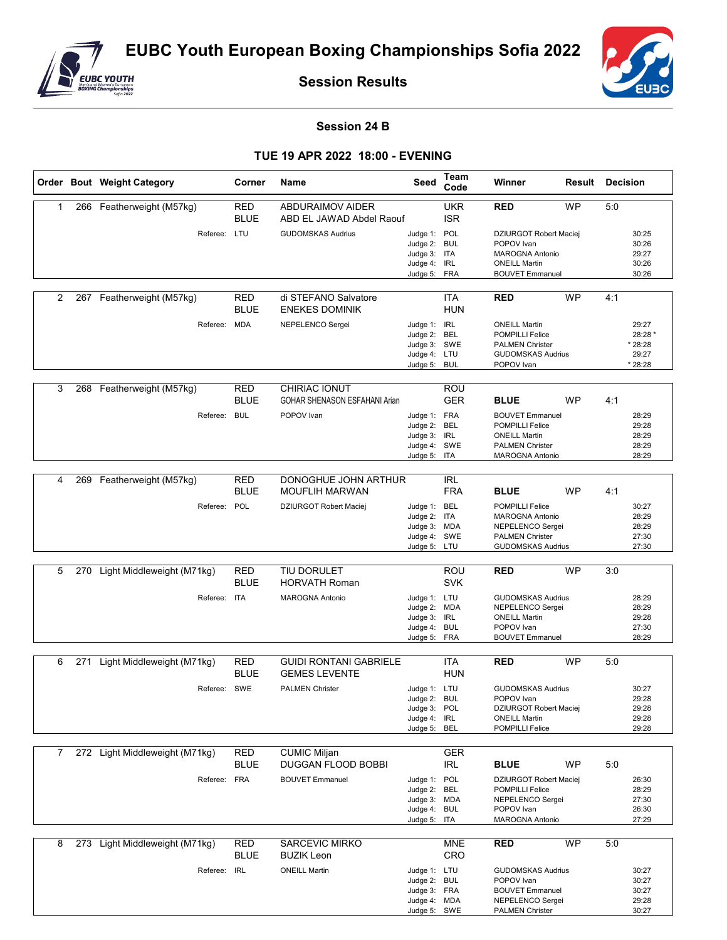

**Session Results**



## **Session 24 B**

## **TUE 19 APR 2022 18:00 - EVENING**

|   |     | Order Bout Weight Category     | Corner                    | Name                                                  | Seed                                                                         | Team<br>Code             | Winner                                                                                                                    | <b>Result Decision</b> |     |                                                 |
|---|-----|--------------------------------|---------------------------|-------------------------------------------------------|------------------------------------------------------------------------------|--------------------------|---------------------------------------------------------------------------------------------------------------------------|------------------------|-----|-------------------------------------------------|
| 1 | 266 | Featherweight (M57kg)          | RED<br><b>BLUE</b>        | <b>ABDURAIMOV AIDER</b><br>ABD EL JAWAD Abdel Raouf   |                                                                              | <b>UKR</b><br><b>ISR</b> | RED                                                                                                                       | <b>WP</b>              | 5:0 |                                                 |
|   |     | Referee: LTU                   |                           | <b>GUDOMSKAS Audrius</b>                              | Judge 1: POL<br>Judge 2: BUL<br>Judge 3: ITA<br>Judge 4: IRL<br>Judge 5: FRA |                          | <b>DZIURGOT Robert Maciei</b><br>POPOV Ivan<br><b>MAROGNA Antonio</b><br><b>ONEILL Martin</b><br><b>BOUVET Emmanuel</b>   |                        |     | 30:25<br>30:26<br>29:27<br>30:26<br>30:26       |
| 2 |     | 267 Featherweight (M57kg)      | RED<br><b>BLUE</b>        | di STEFANO Salvatore<br><b>ENEKES DOMINIK</b>         |                                                                              | ITA<br><b>HUN</b>        | <b>RED</b>                                                                                                                | <b>WP</b>              | 4:1 |                                                 |
|   |     | Referee: MDA                   |                           | NEPELENCO Sergei                                      | Judge 1: IRL<br>Judge 2: BEL<br>Judge 3: SWE<br>Judge 4: LTU<br>Judge 5: BUL |                          | <b>ONEILL Martin</b><br><b>POMPILLI Felice</b><br><b>PALMEN Christer</b><br><b>GUDOMSKAS Audrius</b><br>POPOV Ivan        |                        |     | 29:27<br>28:28 *<br>* 28:28<br>29:27<br>* 28:28 |
| 3 | 268 | Featherweight (M57kg)          | RED<br><b>BLUE</b>        | CHIRIAC IONUT<br><b>GOHAR SHENASON ESFAHANI Arian</b> |                                                                              | ROU<br><b>GER</b>        | <b>BLUE</b>                                                                                                               | <b>WP</b>              | 4:1 |                                                 |
|   |     | Referee:                       | BUL                       | POPOV Ivan                                            | Judge 1: FRA<br>Judge 2: BEL<br>Judge 3: IRL<br>Judge 4: SWE<br>Judge 5: ITA |                          | <b>BOUVET Emmanuel</b><br><b>POMPILLI Felice</b><br><b>ONEILL Martin</b><br><b>PALMEN Christer</b><br>MAROGNA Antonio     |                        |     | 28:29<br>29:28<br>28:29<br>28:29<br>28:29       |
| 4 | 269 | Featherweight (M57kg)          | <b>RED</b><br><b>BLUE</b> | DONOGHUE JOHN ARTHUR<br><b>MOUFLIH MARWAN</b>         |                                                                              | <b>IRL</b><br><b>FRA</b> | <b>BLUE</b>                                                                                                               | <b>WP</b>              | 4:1 |                                                 |
|   |     | Referee: POL                   |                           | <b>DZIURGOT Robert Maciej</b>                         | Judge 1: BEL<br>Judge 2: ITA<br>Judge 3: MDA<br>Judge 4: SWE<br>Judge 5: LTU |                          | <b>POMPILLI Felice</b><br>MAROGNA Antonio<br>NEPELENCO Sergei<br><b>PALMEN Christer</b><br><b>GUDOMSKAS Audrius</b>       |                        |     | 30:27<br>28:29<br>28:29<br>27:30<br>27:30       |
|   |     |                                |                           |                                                       |                                                                              |                          |                                                                                                                           |                        |     |                                                 |
| 5 | 270 | Light Middleweight (M71kg)     | <b>RED</b><br><b>BLUE</b> | <b>TIU DORULET</b><br><b>HORVATH Roman</b>            |                                                                              | <b>ROU</b><br><b>SVK</b> | <b>RED</b>                                                                                                                | <b>WP</b>              | 3:0 |                                                 |
|   |     | Referee:                       | <b>ITA</b>                | <b>MAROGNA Antonio</b>                                | Judge 1: LTU<br>Judge 2: MDA<br>Judge 3: IRL<br>Judge 4: BUL<br>Judge 5: FRA |                          | <b>GUDOMSKAS Audrius</b><br>NEPELENCO Sergei<br><b>ONEILL Martin</b><br>POPOV Ivan<br><b>BOUVET Emmanuel</b>              |                        |     | 28:29<br>28:29<br>29:28<br>27:30<br>28:29       |
|   |     |                                |                           |                                                       |                                                                              |                          |                                                                                                                           |                        |     |                                                 |
| 6 |     | 271 Light Middleweight (M71kg) | RED<br><b>BLUE</b>        | <b>GUIDI RONTANI GABRIELE</b><br><b>GEMES LEVENTE</b> |                                                                              | ITA<br><b>HUN</b>        | <b>RED</b>                                                                                                                | WP                     | 5:0 |                                                 |
|   |     | Referee: SWE                   |                           | <b>PALMEN Christer</b>                                | Judge 1: LTU<br>Judge 2: BUL<br>Judge 3: POL<br>Judge 4: IRL<br>Judge 5: BEL |                          | <b>GUDOMSKAS Audrius</b><br>POPOV Ivan<br><b>DZIURGOT Robert Maciej</b><br><b>ONEILL Martin</b><br><b>POMPILLI Felice</b> |                        |     | 30:27<br>29:28<br>29:28<br>29:28<br>29:28       |
| 7 |     | 272 Light Middleweight (M71kg) | <b>RED</b>                | <b>CUMIC Miljan</b>                                   |                                                                              | <b>GER</b>               |                                                                                                                           |                        |     |                                                 |
|   |     |                                | <b>BLUE</b>               | DUGGAN FLOOD BOBBI                                    |                                                                              | <b>IRL</b>               | <b>BLUE</b>                                                                                                               | <b>WP</b>              | 5:0 |                                                 |
|   |     | Referee: FRA                   |                           | <b>BOUVET Emmanuel</b>                                | Judge 1: POL<br>Judge 2: BEL<br>Judge 3: MDA<br>Judge 4: BUL<br>Judge 5: ITA |                          | <b>DZIURGOT Robert Maciej</b><br><b>POMPILLI Felice</b><br>NEPELENCO Sergei<br>POPOV Ivan<br>MAROGNA Antonio              |                        |     | 26:30<br>28:29<br>27:30<br>26:30<br>27:29       |
| 8 |     | 273 Light Middleweight (M71kg) | <b>RED</b><br><b>BLUE</b> | <b>SARCEVIC MIRKO</b><br><b>BUZIK Leon</b>            |                                                                              | <b>MNE</b><br>CRO        | <b>RED</b>                                                                                                                | <b>WP</b>              | 5:0 |                                                 |
|   |     | Referee: IRL                   |                           | <b>ONEILL Martin</b>                                  | Judge 1: LTU<br>Judge 2: BUL<br>Judge 3: FRA<br>Judge 4: MDA<br>Judge 5: SWE |                          | <b>GUDOMSKAS Audrius</b><br>POPOV Ivan<br><b>BOUVET Emmanuel</b><br>NEPELENCO Sergei<br><b>PALMEN Christer</b>            |                        |     | 30:27<br>30:27<br>30:27<br>29:28<br>30:27       |